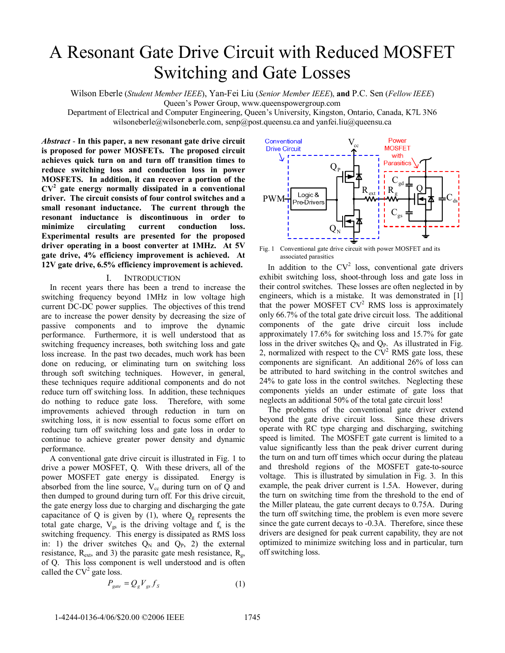# A Resonant Gate Drive Circuit with Reduced MOSFET Switching and Gate Losses

Wilson Eberle (*Student Member IEEE*), Yan-Fei Liu (*Senior Member IEEE*), **and** P.C. Sen (*Fellow IEEE*)

Queen's Power Group, www.queenspowergroup.com

Department of Electrical and Computer Engineering, Queen's University, Kingston, Ontario, Canada, K7L 3N6 wilsoneberle@wilsoneberle.com, senp@post.queensu.ca and yanfei.liu@queensu.ca

*Abstract* - **In this paper, a new resonant gate drive circuit is proposed for power MOSFETs. The proposed circuit achieves quick turn on and turn off transition times to reduce switching loss and conduction loss in power MOSFETS. In addition, it can recover a portion of the CV2 gate energy normally dissipated in a conventional driver. The circuit consists of four control switches and a small resonant inductance. The current through the resonant inductance is discontinuous in order to minimize circulating current conduction loss. Experimental results are presented for the proposed driver operating in a boost converter at 1MHz. At 5V gate drive, 4% efficiency improvement is achieved. At 12V gate drive, 6.5% efficiency improvement is achieved.**

## I. INTRODUCTION

In recent years there has been a trend to increase the switching frequency beyond 1MHz in low voltage high current DC-DC power supplies. The objectives of this trend are to increase the power density by decreasing the size of passive components and to improve the dynamic performance. Furthermore, it is well understood that as switching frequency increases, both switching loss and gate loss increase. In the past two decades, much work has been done on reducing, or eliminating turn on switching loss through soft switching techniques. However, in general, these techniques require additional components and do not reduce turn off switching loss. In addition, these techniques do nothing to reduce gate loss. Therefore, with some improvements achieved through reduction in turn on switching loss, it is now essential to focus some effort on reducing turn off switching loss and gate loss in order to continue to achieve greater power density and dynamic performance.

A conventional gate drive circuit is illustrated in Fig. 1 to drive a power MOSFET, Q. With these drivers, all of the power MOSFET gate energy is dissipated. Energy is absorbed from the line source,  $V_{cc}$  during turn on of Q and then dumped to ground during turn off. For this drive circuit, the gate energy loss due to charging and discharging the gate capacitance of Q is given by (1), where  $Q<sub>g</sub>$  represents the total gate charge,  $V_{gs}$  is the driving voltage and  $f_s$  is the switching frequency. This energy is dissipated as RMS loss in: 1) the driver switches  $Q_N$  and  $Q_P$ , 2) the external resistance,  $R_{ext}$ , and 3) the parasitc gate mesh resistance,  $R_{gt}$ , of Q. This loss component is well understood and is often called the  $CV^2$  gate loss.

$$
P_{gate} = Q_g V_{gs} f_s \tag{1}
$$



 Fig. 1 Conventional gate drive circuit with power MOSFET and its associated parasitics

In addition to the  $CV^2$  loss, conventional gate drivers exhibit switching loss, shoot-through loss and gate loss in their control switches. These losses are often neglected in by engineers, which is a mistake. It was demonstrated in [1] that the power MOSFET  $CV^2$  RMS loss is approximately only 66.7% of the total gate drive circuit loss. The additional components of the gate drive circuit loss include approximately 17.6% for switching loss and 15.7% for gate loss in the driver switches  $Q_N$  and  $Q_P$ . As illustrated in Fig. 2, normalized with respect to the  $CV<sup>2</sup>$  RMS gate loss, these components are significant. An additional 26% of loss can be attributed to hard switching in the control switches and 24% to gate loss in the control switches. Neglecting these components yields an under estimate of gate loss that neglects an additional 50% of the total gate circuit loss!

The problems of the conventional gate driver extend beyond the gate drive circuit loss. Since these drivers operate with RC type charging and discharging, switching speed is limited. The MOSFET gate current is limited to a value significantly less than the peak driver current during the turn on and turn off times which occur during the plateau and threshold regions of the MOSFET gate-to-source voltage. This is illustrated by simulation in Fig. 3. In this example, the peak driver current is 1.5A. However, during the turn on switching time from the threshold to the end of the Miller plateau, the gate current decays to 0.75A. During the turn off switching time, the problem is even more severe since the gate current decays to -0.3A. Therefore, since these drivers are designed for peak current capability, they are not optimized to minimize switching loss and in particular, turn off switching loss.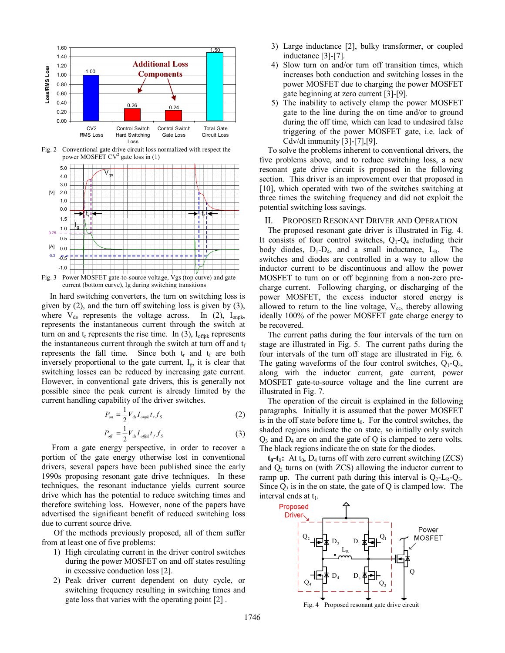

current (bottom curve), Ig during switching transitions

In hard switching converters, the turn on switching loss is given by (2), and the turn off switching loss is given by (3), where  $V_{ds}$  represents the voltage across. In (2),  $I_{onpk}$ , represents the instantaneous current through the switch at turn on and  $t_r$  represents the rise time. In (3),  $I_{\text{offpk}}$  represents the instantaneous current through the switch at turn off and  $t_f$ represents the fall time. Since both  $t_r$  and  $t_f$  are both inversely proportional to the gate current, Ig, it is clear that switching losses can be reduced by increasing gate current. However, in conventional gate drivers, this is generally not possible since the peak current is already limited by the current handling capability of the driver switches.

$$
P_{on} = \frac{1}{2} V_{ds} I_{onpk} t_r f_s \tag{2}
$$

$$
P_{\text{off}} = \frac{1}{2} V_{ds} I_{\text{offpk}} t_f f_s \tag{3}
$$

 From a gate energy perspective, in order to recover a portion of the gate energy otherwise lost in conventional drivers, several papers have been published since the early 1990s proposing resonant gate drive techniques. In these techniques, the resonant inductance yields current source drive which has the potential to reduce switching times and therefore switching loss. However, none of the papers have advertised the significant benefit of reduced switching loss due to current source drive.

 Of the methods previously proposed, all of them suffer from at least one of five problems:

- 1) High circulating current in the driver control switches during the power MOSFET on and off states resulting in excessive conduction loss [2].
- 2) Peak driver current dependent on duty cycle, or switching frequency resulting in switching times and gate loss that varies with the operating point [2] .
- 3) Large inductance [2], bulky transformer, or coupled inductance [3]-[7].
- 4) Slow turn on and/or turn off transition times, which increases both conduction and switching losses in the power MOSFET due to charging the power MOSFET gate beginning at zero current [3]-[9].
- 5) The inability to actively clamp the power MOSFET gate to the line during the on time and/or to ground during the off time, which can lead to undesired false triggering of the power MOSFET gate, i.e. lack of Cdv/dt immunity [3]-[7],[9].

To solve the problems inherent to conventional drivers, the five problems above, and to reduce switching loss, a new resonant gate drive circuit is proposed in the following section. This driver is an improvement over that proposed in [10], which operated with two of the switches switching at three times the switching frequency and did not exploit the potential switching loss savings.

# II. PROPOSED RESONANT DRIVER AND OPERATION

The proposed resonant gate driver is illustrated in Fig. 4. It consists of four control switches,  $Q_1 - Q_4$  including their body diodes,  $D_1 - D_4$ , and a small inductance,  $L_R$ . The switches and diodes are controlled in a way to allow the inductor current to be discontinuous and allow the power MOSFET to turn on or off beginning from a non-zero precharge current. Following charging, or discharging of the power MOSFET, the excess inductor stored energy is allowed to return to the line voltage,  $V_{cc}$ , thereby allowing ideally 100% of the power MOSFET gate charge energy to be recovered.

The current paths during the four intervals of the turn on stage are illustrated in Fig. 5. The current paths during the four intervals of the turn off stage are illustrated in Fig. 6. The gating waveforms of the four control switches,  $Q_1 - Q_4$ , along with the inductor current, gate current, power MOSFET gate-to-source voltage and the line current are illustrated in Fig. 7.

The operation of the circuit is explained in the following paragraphs. Initially it is assumed that the power MOSFET is in the off state before time  $t_0$ . For the control switches, the shaded regions indicate the on state, so initially only switch  $Q_3$  and  $D_4$  are on and the gate of Q is clamped to zero volts. The black regions indicate the on state for the diodes.

 $t_0$ - $t_1$ : At  $t_0$ ,  $D_4$  turns off with zero current switching (ZCS) and  $Q_2$  turns on (with ZCS) allowing the inductor current to ramp up. The current path during this interval is  $Q_2$ -L<sub>R</sub>- $Q_3$ . Since  $Q_3$  is in the on state, the gate of Q is clamped low. The interval ends at  $t_1$ .

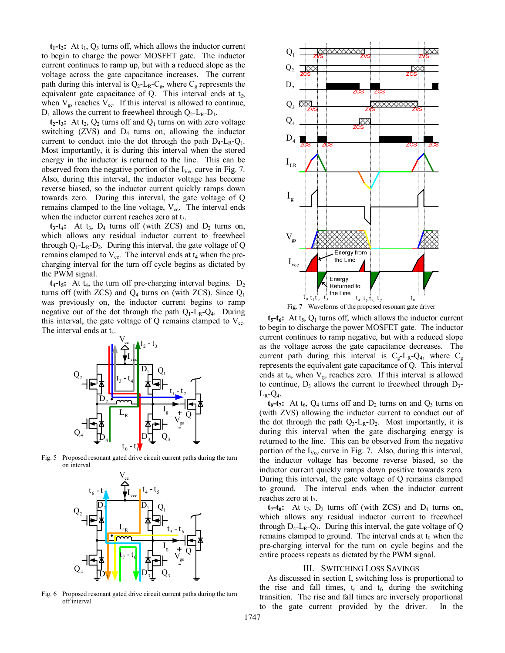$t_1$ - $t_2$ : At  $t_1$ ,  $Q_3$  turns off, which allows the inductor current to begin to charge the power MOSFET gate. The inductor current continues to ramp up, but with a reduced slope as the voltage across the gate capacitance increases. The current path during this interval is  $Q_2$ -L<sub>R</sub>-C<sub>g</sub>, where C<sub>g</sub> represents the equivalent gate capacitance of  $Q$ . This interval ends at  $t_2$ , when  $V_{gs}$  reaches  $V_{cc}$ . If this interval is allowed to continue,  $D_1$  allows the current to freewheel through  $Q_2$ -L<sub>R</sub>-D<sub>1</sub>.

 $t_2$ - $t_3$ : At  $t_2$ ,  $Q_2$  turns off and  $Q_1$  turns on with zero voltage switching  $(ZVS)$  and  $D_4$  turns on, allowing the inductor current to conduct into the dot through the path  $D_4$ -L<sub>R</sub>-Q<sub>1</sub>. Most importantly, it is during this interval when the stored energy in the inductor is returned to the line. This can be observed from the negative portion of the  $I_{\text{Vec}}$  curve in Fig. 7. Also, during this interval, the inductor voltage has become reverse biased, so the inductor current quickly ramps down towards zero. During this interval, the gate voltage of Q remains clamped to the line voltage,  $V_{cc}$ . The interval ends when the inductor current reaches zero at  $t_3$ .

 $t_3-t_4$ : At  $t_3$ ,  $D_4$  turns off (with ZCS) and  $D_2$  turns on, which allows any residual inductor current to freewheel through  $Q_1$ -L<sub>R</sub>-D<sub>2</sub>. During this interval, the gate voltage of Q remains clamped to  $V_{cc}$ . The interval ends at  $t_4$  when the precharging interval for the turn off cycle begins as dictated by the PWM signal.

 $t_4$ - $t_5$ : At  $t_4$ , the turn off pre-charging interval begins.  $D_2$ turns off (with ZCS) and  $Q_4$  turns on (with ZCS). Since  $Q_1$ was previously on, the inductor current begins to ramp negative out of the dot through the path  $Q_1$ -L<sub>R</sub>- $Q_4$ . During this interval, the gate voltage of  $Q$  remains clamped to  $V_{cc}$ . The interval ends at  $t_5$ .



Fig. 5 Proposed resonant gated drive circuit current paths during the turn on interval



Fig. 6 Proposed resonant gated drive circuit current paths during the turn off interval





 $t_5-t_6$ : At  $t_5$ ,  $Q_1$  turns off, which allows the inductor current to begin to discharge the power MOSFET gate. The inductor current continues to ramp negative, but with a reduced slope as the voltage across the gate capacitance decreases. The current path during this interval is  $C_g - L_R - Q_4$ , where  $C_g$ represents the equivalent gate capacitance of Q. This interval ends at  $t_6$ , when  $V_{gs}$  reaches zero. If this interval is allowed to continue,  $D_3$  allows the current to freewheel through  $D_3$ - $L_R$ - $Q_4$ .

 $t_6-t_7$ : At  $t_6$ ,  $Q_4$  turns off and  $D_2$  turns on and  $Q_3$  turns on (with ZVS) allowing the inductor current to conduct out of the dot through the path  $Q_3$ -L<sub>R</sub>-D<sub>2</sub>. Most importantly, it is during this interval when the gate discharging energy is returned to the line. This can be observed from the negative portion of the  $I_{\text{Vec}}$  curve in Fig. 7. Also, during this interval, the inductor voltage has become reverse biased, so the inductor current quickly ramps down positive towards zero. During this interval, the gate voltage of Q remains clamped to ground. The interval ends when the inductor current reaches zero at  $t_7$ .

 $t_7-t_0$ : At  $t_7$ ,  $D_2$  turns off (with ZCS) and  $D_4$  turns on, which allows any residual inductor current to freewheel through  $D_4$ -L<sub>R</sub>-Q<sub>3</sub>. During this interval, the gate voltage of Q remains clamped to ground. The interval ends at  $t_0$  when the pre-charging interval for the turn on cycle begins and the entire process repeats as dictated by the PWM signal.

## III. SWITCHING LOSS SAVINGS

As discussed in section I, switching loss is proportional to the rise and fall times,  $t_r$  and  $t_f$ , during the switching transition. The rise and fall times are inversely proportional to the gate current provided by the driver. In the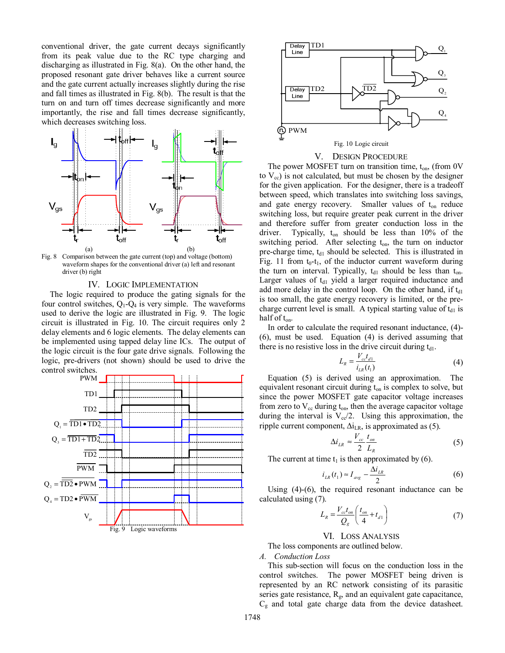conventional driver, the gate current decays significantly from its peak value due to the RC type charging and discharging as illustrated in Fig. 8(a). On the other hand, the proposed resonant gate driver behaves like a current source and the gate current actually increases slightly during the rise and fall times as illustrated in Fig. 8(b). The result is that the turn on and turn off times decrease significantly and more importantly, the rise and fall times decrease significantly, which decreases switching loss.



waveform shapes for the conventional driver (a) left and resonant driver (b) right

## IV. LOGIC IMPLEMENTATION

The logic required to produce the gating signals for the four control switches,  $Q_1 - Q_4$  is very simple. The waveforms used to derive the logic are illustrated in Fig. 9. The logic circuit is illustrated in Fig. 10. The circuit requires only 2 delay elements and 6 logic elements. The delay elements can be implemented using tapped delay line ICs. The output of the logic circuit is the four gate drive signals. Following the logic, pre-drivers (not shown) should be used to drive the control switches.





## V. DESIGN PROCEDURE

The power MOSFET turn on transition time,  $t_{on}$ , (from 0V to  $V_{\rm cc}$ ) is not calculated, but must be chosen by the designer for the given application. For the designer, there is a tradeoff between speed, which translates into switching loss savings, and gate energy recovery. Smaller values of  $t_{on}$  reduce switching loss, but require greater peak current in the driver and therefore suffer from greater conduction loss in the driver. Typically, ton should be less than 10% of the switching period. After selecting  $t_{on}$ , the turn on inductor pre-charge time, t<sub>d1</sub> should be selected. This is illustrated in Fig. 11 from  $t_0-t_1$ , of the inductor current waveform during the turn on interval. Typically,  $t_{d1}$  should be less than  $t_{on}$ . Larger values of  $t_{d1}$  yield a larger required inductance and add more delay in the control loop. On the other hand, if t<sub>d1</sub> is too small, the gate energy recovery is limited, or the precharge current level is small. A typical starting value of  $t_{d1}$  is half of ton.

In order to calculate the required resonant inductance, (4)- (6), must be used. Equation (4) is derived assuming that there is no resistive loss in the drive circuit during  $t_{d1}$ .

$$
L_R = \frac{V_{cc}t_{d1}}{i_{LR}(t_1)}
$$
(4)

Equation (5) is derived using an approximation. The equivalent resonant circuit during  $t_{on}$  is complex to solve, but since the power MOSFET gate capacitor voltage increases from zero to  $V_{cc}$  during  $t_{on}$ , then the average capacitor voltage during the interval is  $V_{\rm cc}/2$ . Using this approximation, the ripple current component,  $\Delta i_{LR}$ , is approximated as (5).

$$
\Delta i_{LR} \approx \frac{V_{cc}}{2} \frac{t_{on}}{L_R} \tag{5}
$$

The current at time  $t_1$  is then approximated by (6).

$$
i_{LR}(t_1) \approx I_{avg} - \frac{\Delta i_{LR}}{2} \tag{6}
$$

Using (4)-(6), the required resonant inductance can be calculated using (7).

$$
L_R = \frac{V_{cc}t_{on}}{Q_g} \left(\frac{t_{on}}{4} + t_{d1}\right)
$$
 (7)

# VI. LOSS ANALYSIS

The loss components are outlined below.

*A. Conduction Loss* 

This sub-section will focus on the conduction loss in the control switches. The power MOSFET being driven is represented by an RC network consisting of its parasitic series gate resistance,  $R_g$ , and an equivalent gate capacitance,  $C<sub>g</sub>$  and total gate charge data from the device datasheet.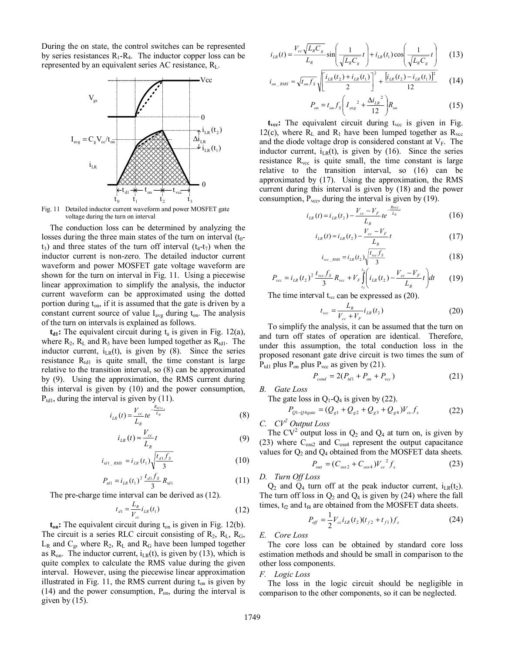During the on state, the control switches can be represented by series resistances  $R_1-R_4$ . The inductor copper loss can be represented by an equivalent series AC resistance,  $R<sub>L</sub>$ .



Fig. 11 Detailed inductor current waveform and power MOSFET gate voltage during the turn on interval

The conduction loss can be determined by analyzing the losses during the three main states of the turn on interval  $(t_0$  $t_3$ ) and three states of the turn off interval  $(t_4-t_7)$  when the inductor current is non-zero. The detailed inductor current waveform and power MOSFET gate voltage waveform are shown for the turn on interval in Fig. 11. Using a piecewise linear approximation to simplify the analysis, the inductor current waveform can be approximated using the dotted portion during  $t_{on}$ , if it is assumed that the gate is driven by a constant current source of value  $I_{avg}$  during  $t_{on}$ . The analysis of the turn on intervals is explained as follows.

 $t_{d1}$ : The equivalent circuit during  $t_a$  is given in Fig. 12(a), where  $R_2$ ,  $R_L$  and  $R_3$  have been lumped together as  $R_{\text{td1}}$ . The inductor current,  $i_{LR}(t)$ , is given by (8). Since the series resistance  $R_{td1}$  is quite small, the time constant is large relative to the transition interval, so (8) can be approximated by (9). Using the approximation, the RMS current during this interval is given by (10) and the power consumption,  $P_{td1}$ , during the interval is given by (11).

$$
i_{LR}(t) = \frac{V_{cc}}{L_R} t e^{-\frac{R_{at/a}}{L_R}t}
$$
 (8)

$$
i_{LR}(t) \approx \frac{V_{cc}}{L_R}t\tag{9}
$$

$$
i_{td1\_RMS} = i_{LR}(t_1) \sqrt{\frac{t_{d1} f_s}{3}}
$$
 (10)

$$
P_{\text{td1}} = i_{LR} (t_1)^2 \frac{t_{d1} f_S}{3} R_{\text{td1}} \tag{11}
$$

The pre-charge time interval can be derived as (12).

$$
t_{d1} = \frac{L_R}{V_{cc}} i_{LR}(t_1)
$$
 (12)

**t<sub>on</sub>:** The equivalent circuit during t<sub>on</sub> is given in Fig. 12(b). The circuit is a series RLC circuit consisting of  $R_2$ ,  $R_L$ ,  $R_G$ ,  $L_R$  and  $C_g$ , where  $R_2$ ,  $R_L$  and  $R_G$  have been lumped together as  $R_{on}$ . The inductor current,  $i_{LR}(t)$ , is given by (13), which is quite complex to calculate the RMS value during the given interval. However, using the piecewise linear approximation illustrated in Fig. 11, the RMS current during  $t_{on}$  is given by (14) and the power consumption,  $P_{on}$ , during the interval is given by  $(15)$ .

$$
i_{LR}(t) = \frac{V_{cc}\sqrt{L_R C_g}}{L_R} \sin\left(\frac{1}{\sqrt{L_R C_g}}t\right) + i_{LR}(t_1)\cos\left(\frac{1}{\sqrt{L_R C_g}}t\right) \tag{13}
$$

$$
i_{on\_RMS} \approx \sqrt{t_{on} f_S} \sqrt{\left[\frac{i_{LR}(t_2) + i_{LR}(t_1)}{2}\right]^2 + \frac{[i_{LR}(t_2) - i_{LR}(t_1)]^2}{12}} \qquad (14)
$$

$$
P_{on} = t_{on} f_s \left( I_{avg}^{2} + \frac{\Delta i_{LR}^{2}}{12} \right) R_{on}
$$
 (15)

 $t_{\text{vec}}$ : The equivalent circuit during  $t_{\text{vec}}$  is given in Fig. 12(c), where  $R_L$  and  $R_1$  have been lumped together as  $R_{\text{vec}}$ and the diode voltage drop is considered constant at  $V_F$ . The inductor current,  $i_{LR}(t)$ , is given by (16). Since the series resistance  $R_{\text{vcc}}$  is quite small, the time constant is large relative to the transition interval, so (16) can be approximated by (17). Using the approximation, the RMS current during this interval is given by (18) and the power consumption,  $P_{\text{vcc}}$ , during the interval is given by (19).

$$
i_{LR}(t) = i_{LR}(t_2) - \frac{V_{cc} - V_F}{L_R} t e^{-\frac{R \text{vec}}{L_R}t}
$$
 (16)

$$
i_{LR}(t) \approx i_{LR}(t_2) - \frac{V_{cc} - V_F}{L_R}t
$$
\n(17)

$$
i_{\text{vec\_RMS}} = i_{LR}(t_2) \sqrt{\frac{t_{\text{vec}} f_s}{3}}
$$
(18)

$$
P_{\text{vec}} = i_{LR} (t_2)^2 \frac{t_{\text{vec}} f_S}{3} R_{\text{vec}} + V_F \int_{t_2}^{t_1} \left( i_{LR} (t_2) - \frac{V_{\text{cor}} - V_F}{L_R} t \right) dt \tag{19}
$$

The time interval  $t_{\text{vac}}$  can be expressed as (20).

$$
t_{\rm vec} = \frac{L_R}{V_{cc} + V_F} i_{LR}(t_2)
$$
 (20)

To simplify the analysis, it can be assumed that the turn on and turn off states of operation are identical. Therefore, under this assumption, the total conduction loss in the proposed resonant gate drive circuit is two times the sum of  $P_{\text{td1}}$  plus  $P_{\text{on}}$  plus  $P_{\text{vcc}}$  as given by (21).

$$
P_{cond} = 2(P_{td1} + P_{on} + P_{vcc})
$$
 (21)

*B. Gate Loss* 

The gate loss in  $Q_1$ - $Q_4$  is given by (22).

$$
P_{Q1-Q4\,gate} = (Q_{g1} + Q_{g2} + Q_{g3} + Q_{g4})V_{cc}f_s \tag{22}
$$

*C. CV2 Output Loss* 

The  $CV^2$  output loss in  $Q_2$  and  $Q_4$  at turn on, is given by (23) where  $C_{\text{oss2}}$  and  $C_{\text{oss4}}$  represent the output capacitance values for  $Q_2$  and  $Q_4$  obtained from the MOSFET data sheets.

$$
P_{out} = (C_{oss2} + C_{oss4})V_{cc}^{2} f_{s}
$$
 (23)

*D. Turn Off Loss* 

 $Q_2$  and  $Q_4$  turn off at the peak inductor current,  $i_{LR}(t_2)$ . The turn off loss in  $Q_2$  and  $Q_4$  is given by (24) where the fall times,  $t_{f2}$  and  $t_{f4}$  are obtained from the MOSFET data sheets.

$$
P_{\text{off}} = \frac{1}{2} V_{cc} i_{LR} (t_2) (t_{f2} + t_{f1}) f_s
$$
 (24)

## *E. Core Loss*

The core loss can be obtained by standard core loss estimation methods and should be small in comparison to the other loss components.

# *F. Logic Loss*

The loss in the logic circuit should be negligible in comparison to the other components, so it can be neglected.